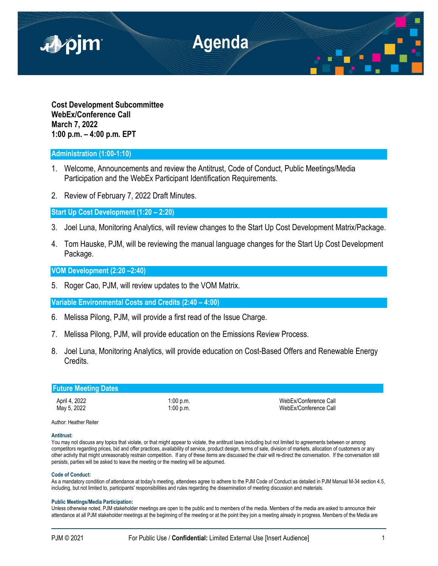

**Cost Development Subcommittee WebEx/Conference Call March 7, 2022 1:00 p.m. – 4:00 p.m. EPT**

# **Administration (1:00-1:10)**

- 1. Welcome, Announcements and review the Antitrust, Code of Conduct, Public Meetings/Media Participation and the WebEx Participant Identification Requirements.
- 2. Review of February 7, 2022 Draft Minutes.

**Start Up Cost Development (1:20 – 2:20)**

- 3. Joel Luna, Monitoring Analytics, will review changes to the Start Up Cost Development Matrix/Package.
- 4. Tom Hauske, PJM, will be reviewing the manual language changes for the Start Up Cost Development Package.

**VOM Development (2:20 –2:40)**

5. Roger Cao, PJM, will review updates to the VOM Matrix.

**Variable Environmental Costs and Credits (2:40 – 4:00)**

- 6. Melissa Pilong, PJM, will provide a first read of the Issue Charge.
- 7. Melissa Pilong, PJM, will provide education on the Emissions Review Process.
- 8. Joel Luna, Monitoring Analytics, will provide education on Cost-Based Offers and Renewable Energy Credits.

| <b>Future Meeting Dates</b>  |                        |                                                |  |  |  |
|------------------------------|------------------------|------------------------------------------------|--|--|--|
| April 4, 2022<br>May 5, 2022 | 1:00 p.m.<br>1:00 p.m. | WebEx/Conference Call<br>WebEx/Conference Call |  |  |  |
| Author: Heather Reiter       |                        |                                                |  |  |  |

#### **Antitrust:**

You may not discuss any topics that violate, or that might appear to violate, the antitrust laws including but not limited to agreements between or among competitors regarding prices, bid and offer practices, availability of service, product design, terms of sale, division of markets, allocation of customers or any other activity that might unreasonably restrain competition. If any of these items are discussed the chair will re-direct the conversation. If the conversation still persists, parties will be asked to leave the meeting or the meeting will be adjourned.

## **Code of Conduct:**

As a mandatory condition of attendance at today's meeting, attendees agree to adhere to the PJM Code of Conduct as detailed in PJM Manual M-34 section 4.5, including, but not limited to, participants' responsibilities and rules regarding the dissemination of meeting discussion and materials.

## **Public Meetings/Media Participation:**

Unless otherwise noted, PJM stakeholder meetings are open to the public and to members of the media. Members of the media are asked to announce their attendance at all PJM stakeholder meetings at the beginning of the meeting or at the point they join a meeting already in progress. Members of the Media are